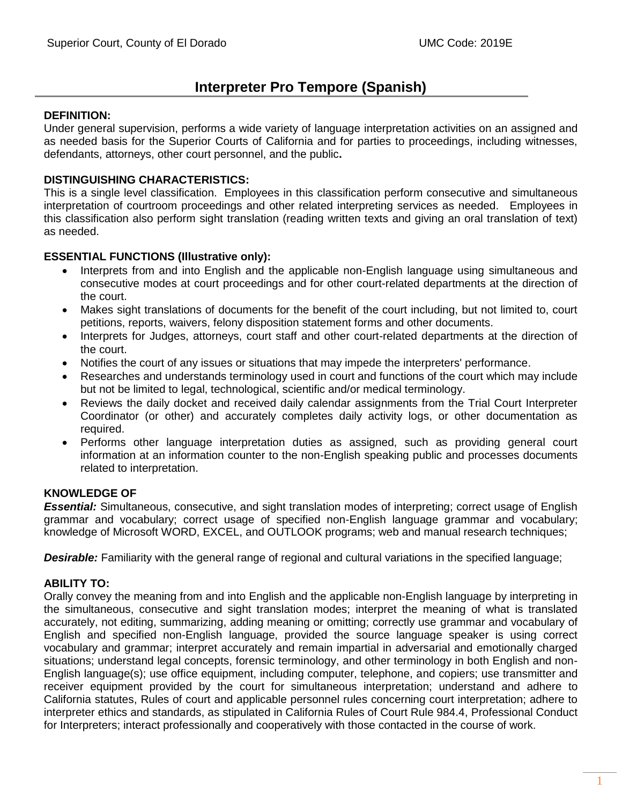# **Interpreter Pro Tempore (Spanish)**

### **DEFINITION:**

Under general supervision, performs a wide variety of language interpretation activities on an assigned and as needed basis for the Superior Courts of California and for parties to proceedings, including witnesses, defendants, attorneys, other court personnel, and the public**.**

### **DISTINGUISHING CHARACTERISTICS:**

This is a single level classification. Employees in this classification perform consecutive and simultaneous interpretation of courtroom proceedings and other related interpreting services as needed. Employees in this classification also perform sight translation (reading written texts and giving an oral translation of text) as needed.

### **ESSENTIAL FUNCTIONS (Illustrative only):**

- Interprets from and into English and the applicable non-English language using simultaneous and consecutive modes at court proceedings and for other court-related departments at the direction of the court.
- Makes sight translations of documents for the benefit of the court including, but not limited to, court petitions, reports, waivers, felony disposition statement forms and other documents.
- Interprets for Judges, attorneys, court staff and other court-related departments at the direction of the court.
- Notifies the court of any issues or situations that may impede the interpreters' performance.
- Researches and understands terminology used in court and functions of the court which may include but not be limited to legal, technological, scientific and/or medical terminology.
- Reviews the daily docket and received daily calendar assignments from the Trial Court Interpreter Coordinator (or other) and accurately completes daily activity logs, or other documentation as required.
- Performs other language interpretation duties as assigned, such as providing general court information at an information counter to the non-English speaking public and processes documents related to interpretation.

# **KNOWLEDGE OF**

*Essential:* Simultaneous, consecutive, and sight translation modes of interpreting; correct usage of English grammar and vocabulary; correct usage of specified non-English language grammar and vocabulary; knowledge of Microsoft WORD, EXCEL, and OUTLOOK programs; web and manual research techniques;

*Desirable:* Familiarity with the general range of regional and cultural variations in the specified language;

# **ABILITY TO:**

Orally convey the meaning from and into English and the applicable non-English language by interpreting in the simultaneous, consecutive and sight translation modes; interpret the meaning of what is translated accurately, not editing, summarizing, adding meaning or omitting; correctly use grammar and vocabulary of English and specified non-English language, provided the source language speaker is using correct vocabulary and grammar; interpret accurately and remain impartial in adversarial and emotionally charged situations; understand legal concepts, forensic terminology, and other terminology in both English and non-English language(s); use office equipment, including computer, telephone, and copiers; use transmitter and receiver equipment provided by the court for simultaneous interpretation; understand and adhere to California statutes, Rules of court and applicable personnel rules concerning court interpretation; adhere to interpreter ethics and standards, as stipulated in California Rules of Court Rule 984.4, Professional Conduct for Interpreters; interact professionally and cooperatively with those contacted in the course of work.